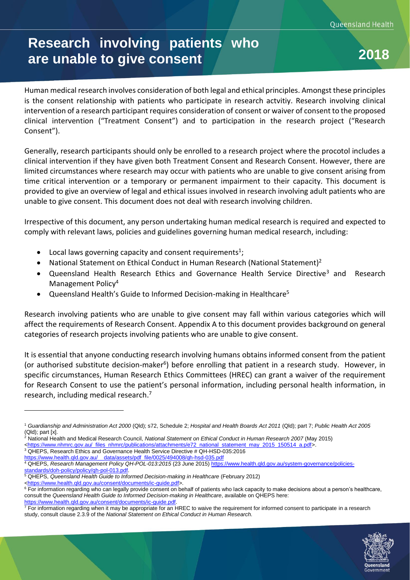# **Research involving patients who are unable to give consent 2018**

Human medical research involves consideration of both legal and ethical principles. Amongst these principles is the consent relationship with patients who participate in research actvitiy. Research involving clinical intervention of a research participant requires consideration of consent or waiver of consent to the proposed clinical intervention ("Treatment Consent") and to participation in the research project ("Research Consent").

Generally, research participants should only be enrolled to a research project where the procotol includes a clinical intervention if they have given both Treatment Consent and Research Consent. However, there are limited circumstances where research may occur with patients who are unable to give consent arising from time critical intervention or a temporary or permanent impairment to their capacity. This document is provided to give an overview of legal and ethical issues involved in research involving adult patients who are unable to give consent. This document does not deal with research involving children.

Irrespective of this document, any person undertaking human medical research is required and expected to comply with relevant laws, policies and guidelines governing human medical research, including:

- $\bullet$  Local laws governing capacity and consent requirements<sup>1</sup>;
- National Statement on Ethical Conduct in Human Research (National Statement)<sup>2</sup>
- Queensland Health Research Ethics and Governance Health Service Directive<sup>3</sup> and Research Management Policy<sup>4</sup>
- Queensland Health's Guide to Informed Decision-making in Healthcare<sup>5</sup>

Research involving patients who are unable to give consent may fall within various categories which will affect the requirements of Research Consent. Appendix A to this document provides background on general categories of research projects involving patients who are unable to give consent.

It is essential that anyone conducting research involving humans obtains informed consent from the patient (or authorised substitute decision-maker<sup>6</sup>) before enrolling that patient in a research study. However, in specific circumstances, Human Research Ethics Committees (HREC) can grant a waiver of the requirement for Research Consent to use the patient's personal information, including personal health information, in research, including medical research.<sup>7</sup>

[standards/doh-policy/policy/qh-pol-013.pdf.](https://www.health.qld.gov.au/system-governance/policies-standards/doh-policy/policy/qh-pol-013.pdf)

 $\overline{a}$ 

<sup>5</sup> QHEPS, *Queensland Health Guide to Informed Decision-making in Healthcare* (February 2012)

 $\overline{7}$  For information regarding when it may be appropriate for an HREC to waive the requirement for informed consent to participate in a research study, consult clause 2.3.9 of the *National Statement on Ethical Conduct in Human Research.*



<sup>1</sup> *Guardianship and Administration Act 2000* (Qld); s72, Schedule 2; *Hospital and Health Boards Act 2011* (Qld); part 7; *Public Health Act 2005*  (Qld); part [x].

<sup>2</sup> National Health and Medical Research Council, *National Statement on Ethical Conduct in Human Research 2007* (May 2015)

[<sup>&</sup>lt;https://www.nhmrc.gov.au/\\_files\\_nhmrc/publications/attachments/e72\\_national\\_statement\\_may\\_2015\\_150514\\_a.pdf>](https://www.nhmrc.gov.au/_files_nhmrc/publications/attachments/e72_national_statement_may_2015_150514_a.pdf).

<sup>&</sup>lt;sup>3</sup> QHEPS, Research Ethics and Governance Health Service Directive # QH-HSD-035:2016

[https://www.health.qld.gov.au/\\_\\_data/assets/pdf\\_file/0025/494008/qh-hsd-035.pdf](https://www.health.qld.gov.au/__data/assets/pdf_file/0025/494008/qh-hsd-035.pdf) <sup>4</sup> QHEPS, *Research Management Policy QH-POL-013:2015* (23 June 2015) [https://www.health.qld.gov.au/system-governance/policies-](https://www.health.qld.gov.au/system-governance/policies-standards/doh-policy/policy/qh-pol-013.pdf)

[<sup>&</sup>lt;https://www.health.qld.gov.au/consent/documents/ic-guide.pdf>](https://www.health.qld.gov.au/consent/documents/ic-guide.pdf)

 $6$  For information regarding who can legally provide consent on behalf of patients who lack capacity to make decisions about a person's healthcare, consult the *Queensland Health Guide to Informed Decision-making in Healthcare*, available on QHEPS here: [https://www.health.qld.gov.au/consent/documents/ic-guide.pdf.](https://www.health.qld.gov.au/consent/documents/ic-guide.pdf)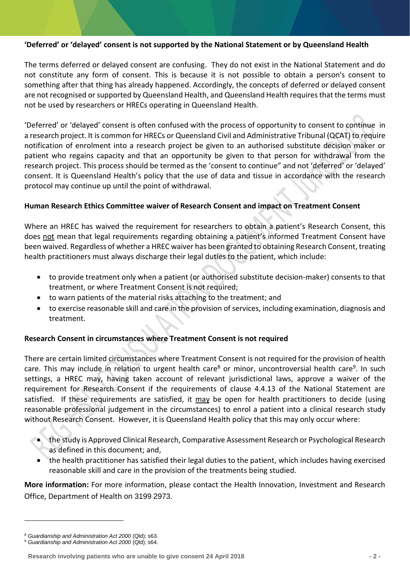## **'Deferred' or 'delayed' consent is not supported by the National Statement or by Queensland Health**

The terms deferred or delayed consent are confusing. They do not exist in the National Statement and do not constitute any form of consent. This is because it is not possible to obtain a person's consent to something after that thing has already happened. Accordingly, the concepts of deferred or delayed consent are not recognised or supported by Queensland Health, and Queensland Health requires that the terms must not be used by researchers or HRECs operating in Queensland Health.

'Deferred' or 'delayed' consent is often confused with the process of opportunity to consent to continue in a research project. It is common for HRECs or Queensland Civil and Administrative Tribunal (QCAT) to require notification of enrolment into a research project be given to an authorised substitute decision maker or patient who regains capacity and that an opportunity be given to that person for withdrawal from the research project. This process should be termed as the 'consent to continue" and not 'deferred' or 'delayed' consent. It is Queensland Health's policy that the use of data and tissue in accordance with the research protocol may continue up until the point of withdrawal.

### **Human Research Ethics Committee waiver of Research Consent and impact on Treatment Consent**

Where an HREC has waived the requirement for researchers to obtain a patient's Research Consent, this does not mean that legal requirements regarding obtaining a patient's informed Treatment Consent have been waived. Regardless of whether a HREC waiver has been granted to obtaining Research Consent, treating health practitioners must always discharge their legal duties to the patient, which include:

- to provide treatment only when a patient (or authorised substitute decision-maker) consents to that treatment, or where Treatment Consent is not required;
- to warn patients of the material risks attaching to the treatment; and
- to exercise reasonable skill and care in the provision of services, including examination, diagnosis and treatment.

## **Research Consent in circumstances where Treatment Consent is not required**

There are certain limited circumstances where Treatment Consent is not required for the provision of health care. This may include in relation to urgent health care<sup>8</sup> or minor, uncontroversial health care<sup>9</sup>. In such settings, a HREC may, having taken account of relevant jurisdictional laws, approve a waiver of the requirement for Research Consent if the requirements of clause 4.4.13 of the National Statement are satisfied. If these requirements are satisfied, it may be open for health practitioners to decide (using reasonable professional judgement in the circumstances) to enrol a patient into a clinical research study without Research Consent. However, it is Queensland Health policy that this may only occur where:

- the study is Approved Clinical Research, Comparative Assessment Research or Psychological Research as defined in this document; and,
- the health practitioner has satisfied their legal duties to the patient, which includes having exercised reasonable skill and care in the provision of the treatments being studied.

**More information:** For more information, please contact the Health Innovation, Investment and Research Office, Department of Health on 3199 2973.

<sup>8</sup> *Guardianship and Administration Act 2000* (Qld); s63.

<sup>9</sup> *Guardianship and Administration Act 2000* (Qld); s64.

**Research involving patients who are unable to give consent 24 April 2018 - 2 -**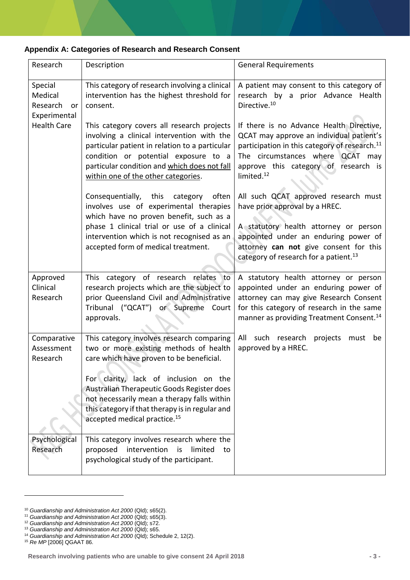### **Appendix A: Categories of Research and Research Consent**

| Research                                             | Description                                                                                                                                                                                                                                                                                                                                                          | <b>General Requirements</b>                                                                                                                                                                                                                             |
|------------------------------------------------------|----------------------------------------------------------------------------------------------------------------------------------------------------------------------------------------------------------------------------------------------------------------------------------------------------------------------------------------------------------------------|---------------------------------------------------------------------------------------------------------------------------------------------------------------------------------------------------------------------------------------------------------|
| Special<br>Medical<br>Research<br>or<br>Experimental | This category of research involving a clinical<br>intervention has the highest threshold for<br>consent.                                                                                                                                                                                                                                                             | A patient may consent to this category of<br>research by a prior Advance Health<br>Directive. <sup>10</sup>                                                                                                                                             |
| <b>Health Care</b>                                   | This category covers all research projects<br>involving a clinical intervention with the<br>particular patient in relation to a particular<br>condition or potential exposure to a<br>particular condition and which does not fall<br>within one of the other categories.                                                                                            | If there is no Advance Health Directive,<br>QCAT may approve an individual patient's<br>participation in this category of research. <sup>11</sup><br>The circumstances where QCAT may<br>approve this category of research is<br>limited. <sup>12</sup> |
|                                                      | Consequentially, this category<br>often<br>involves use of experimental therapies<br>which have no proven benefit, such as a<br>phase 1 clinical trial or use of a clinical<br>intervention which is not recognised as an<br>accepted form of medical treatment.                                                                                                     | All such QCAT approved research must<br>have prior approval by a HREC.<br>A statutory health attorney or person<br>appointed under an enduring power of<br>attorney can not give consent for this<br>category of research for a patient. <sup>13</sup>  |
| Approved<br>Clinical<br>Research                     | This category of research relates<br>to<br>research projects which are the subject to<br>prior Queensland Civil and Administrative<br>Tribunal ("QCAT") or Supreme Court<br>approvals.                                                                                                                                                                               | A statutory health attorney or person<br>appointed under an enduring power of<br>attorney can may give Research Consent<br>for this category of research in the same<br>manner as providing Treatment Consent. <sup>14</sup>                            |
| Comparative<br>Assessment<br>Research                | This category involves research comparing<br>two or more existing methods of health<br>care which have proven to be beneficial.<br>For clarity, lack of inclusion on the<br>Australian Therapeutic Goods Register does<br>not necessarily mean a therapy falls within<br>this category if that therapy is in regular and<br>accepted medical practice. <sup>15</sup> | such research projects<br>All<br>must be<br>approved by a HREC.                                                                                                                                                                                         |
| Psychological<br>Research                            | This category involves research where the<br>intervention<br>proposed<br>is<br>limited<br>to<br>psychological study of the participant.                                                                                                                                                                                                                              |                                                                                                                                                                                                                                                         |

 $\overline{a}$ 

<sup>10</sup> *Guardianship and Administration Act 2000* (Qld); s65(2).

<sup>11</sup> *Guardianship and Administration Act 2000* (Qld); s65(3).

<sup>12</sup> *Guardianship and Administration Act 2000* (Qld); s72.

<sup>13</sup> *Guardianship and Administration Act 2000* (Qld); s65.

<sup>14</sup> *Guardianship and Administration Act 2000* (Qld); Schedule 2, 12(2).

<sup>15</sup> *Re MP* [2006] QGAAT 86.